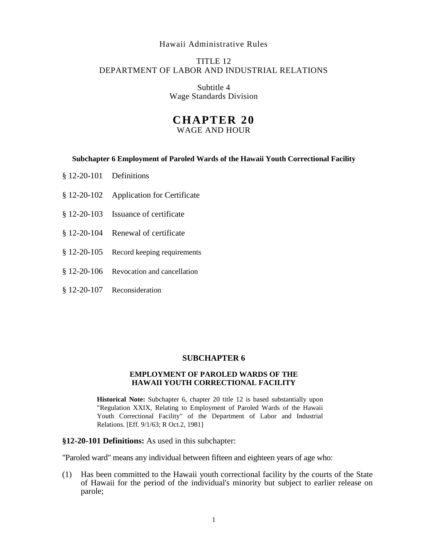# Hawaii Administrative Rules

# TITLE 12 DEPARTMENT OF LABOR AND INDUSTRIAL RELATIONS

Subtitle 4 Wage Standards Division

# **CHAPTER 20**

WAGE AND HOUR

#### **Subchapter 6 Employment of Paroled Wards of the Hawaii Youth Correctional Facility**

- § 12-20-101 Definitions
- § 12-20-102 Application for Certificate
- § 12-20-103 Issuance of certificate
- § 12-20-104 Renewal of certificate
- § 12-20-105 Record keeping requirements
- § 12-20-106 Revocation and cancellation
- § 12-20-107 Reconsideration

# **SUBCHAPTER 6**

### **EMPLOYMENT OF PAROLED WARDS OF THE HAWAII YOUTH CORRECTIONAL FACILITY**

**Historical Note:** Subchapter 6, chapter 20 title 12 is based substantially upon "Regulation XXIX, Relating to Employment of Paroled Wards of the Hawaii Youth Correctional Facility" of the Department of Labor and Industrial Relations. [Eff. 9/1/63; R Oct.2, 1981]

# **§12-20-101 Definitions:** As used in this subchapter:

"Paroled ward" means any individual between fifteen and eighteen years of age who:

(1) Has been committed to the Hawaii youth correctional facility by the courts of the State of Hawaii for the period of the individual's minority but subject to earlier release on parole;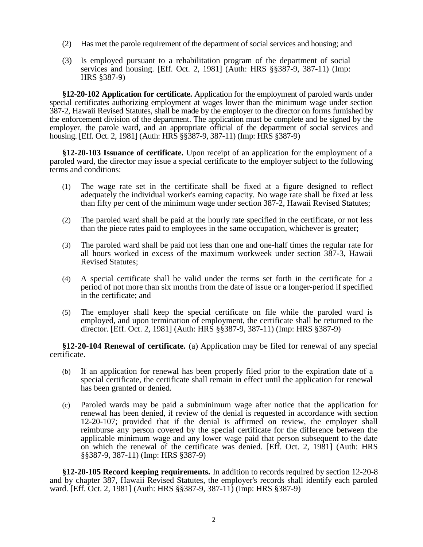- (2) Has met the parole requirement of the department of social services and housing; and
- (3) Is employed pursuant to a rehabilitation program of the department of social services and housing. [Eff. Oct. 2, 1981] (Auth: HRS §§387-9, 387-11) (Imp: HRS §387-9)

**§12-20-102 Application for certificate.** Application for the employment of paroled wards under special certificates authorizing employment at wages lower than the minimum wage under section 387-2, Hawaii Revised Statutes, shall be made by the employer to the director on forms furnished by the enforcement division of the department. The application must be complete and be signed by the employer, the parole ward, and an appropriate official of the department of social services and housing. [Eff. Oct. 2, 1981] (Auth: HRS §§387-9, 387-11) (Imp: HRS §387-9)

**§12-20-103 Issuance of certificate.** Upon receipt of an application for the employment of a paroled ward, the director may issue a special certificate to the employer subject to the following terms and conditions:

- (1) The wage rate set in the certificate shall be fixed at a figure designed to reflect adequately the individual worker's earning capacity. No wage rate shall be fixed at less than fifty per cent of the minimum wage under section 387-2, Hawaii Revised Statutes;
- (2) The paroled ward shall be paid at the hourly rate specified in the certificate, or not less than the piece rates paid to employees in the same occupation, whichever is greater;
- (3) The paroled ward shall be paid not less than one and one-half times the regular rate for all hours worked in excess of the maximum workweek under section 387-3, Hawaii Revised Statutes;
- (4) A special certificate shall be valid under the terms set forth in the certificate for a period of not more than six months from the date of issue or a longer-period if specified in the certificate; and
- (5) The employer shall keep the special certificate on file while the paroled ward is employed, and upon termination of employment, the certificate shall be returned to the director. [Eff. Oct. 2, 1981] (Auth: HRS §§387-9, 387-11) (Imp: HRS §387-9)

**§12-20-104 Renewal of certificate.** (a) Application may be filed for renewal of any special certificate.

- (b) If an application for renewal has been properly filed prior to the expiration date of a special certificate, the certificate shall remain in effect until the application for renewal has been granted or denied.
- (c) Paroled wards may be paid a subminimum wage after notice that the application for renewal has been denied, if review of the denial is requested in accordance with section 12-20-107; provided that if the denial is affirmed on review, the employer shall reimburse any person covered by the special certificate for the difference between the applicable minimum wage and any lower wage paid that person subsequent to the date on which the renewal of the certificate was denied. [Eff. Oct. 2, 1981] (Auth: HRS §§387-9, 387-11) (Imp: HRS §387-9)

**§12-20-105 Record keeping requirements.** In addition to records required by section 12-20-8 and by chapter 387, Hawaii Revised Statutes, the employer's records shall identify each paroled ward. [Eff. Oct. 2, 1981] (Auth: HRS §§387-9, 387-11) (Imp: HRS §387-9)